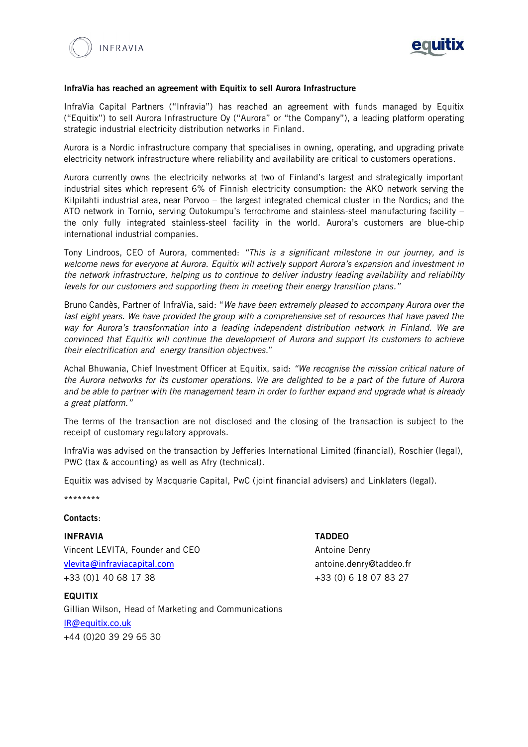



### InfraVia has reached an agreement with Equitix to sell Aurora Infrastructure

InfraVia Capital Partners ("Infravia") has reached an agreement with funds managed by Equitix ("Equitix") to sell Aurora Infrastructure Oy ("Aurora" or "the Company"), a leading platform operating strategic industrial electricity distribution networks in Finland.

Aurora is a Nordic infrastructure company that specialises in owning, operating, and upgrading private electricity network infrastructure where reliability and availability are critical to customers operations.

Aurora currently owns the electricity networks at two of Finland's largest and strategically important industrial sites which represent 6% of Finnish electricity consumption: the AKO network serving the Kilpilahti industrial area, near Porvoo – the largest integrated chemical cluster in the Nordics; and the ATO network in Tornio, serving Outokumpu's ferrochrome and stainless-steel manufacturing facility – the only fully integrated stainless-steel facility in the world. Aurora's customers are blue-chip international industrial companies.

Tony Lindroos, CEO of Aurora, commented: *"This is a significant milestone in our journey, and is welcome news for everyone at Aurora. Equitix will actively support Aurora's expansion and investment in the network infrastructure, helping us to continue to deliver industry leading availability and reliability levels for our customers and supporting them in meeting their energy transition plans."*

Bruno Candès, Partner of InfraVia, said: "*We have been extremely pleased to accompany Aurora over the last eight years. We have provided the group with a comprehensive set of resources that have paved the way for Aurora's transformation into a leading independent distribution network in Finland. We are convinced that Equitix will continue the development of Aurora and support its customers to achieve their electrification and energy transition objectives.*"

Achal Bhuwania, Chief Investment Officer at Equitix, said: *"We recognise the mission critical nature of the Aurora networks for its customer operations. We are delighted to be a part of the future of Aurora and be able to partner with the management team in order to further expand and upgrade what is already a great platform."*

The terms of the transaction are not disclosed and the closing of the transaction is subject to the receipt of customary regulatory approvals.

InfraVia was advised on the transaction by Jefferies International Limited (financial), Roschier (legal), PWC (tax & accounting) as well as Afry (technical).

Equitix was advised by Macquarie Capital, PwC (joint financial advisers) and Linklaters (legal).

\*\*\*\*\*\*\*\*

## Contacts:

**FOULTIX** 

INFRAVIA TADDEO Vincent LEVITA, Founder and CEO Antoine Denry [vlevita@infraviacapital.com](mailto:vlevita@infraviacapital.com) antoine.denry@taddeo.fr +33 (0) 1 40 68 17 38 +33 (0) 6 18 07 83 27

Gillian Wilson, Head of Marketing and Communications [IR@equitix.co.uk](mailto:IR@equitix.co.uk) +44 (0)20 39 29 65 30